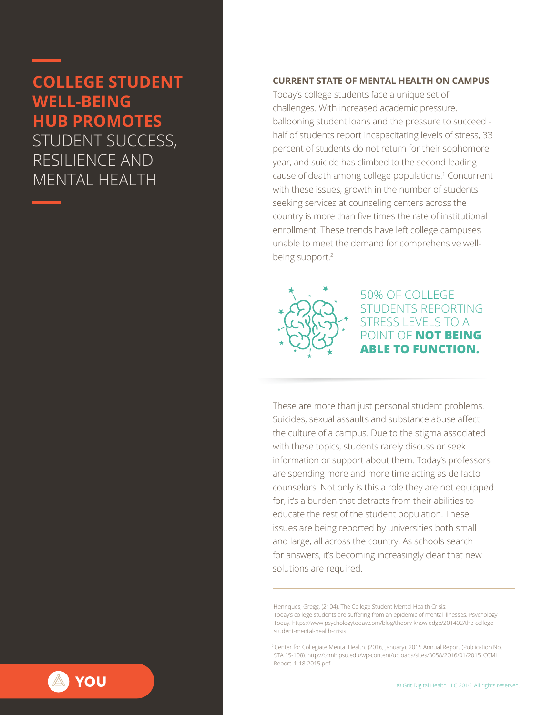# **COLLEGE STUDENT WELL-BEING HUB PROMOTES**  STUDENT SUCCESS, RESILIENCE AND MENTAL HEALTH

#### **CURRENT STATE OF MENTAL HEALTH ON CAMPUS**

Today's college students face a unique set of challenges. With increased academic pressure, ballooning student loans and the pressure to succeed half of students report incapacitating levels of stress, 33 percent of students do not return for their sophomore year, and suicide has climbed to the second leading cause of death among college populations.<sup>1</sup> Concurrent with these issues, growth in the number of students seeking services at counseling centers across the country is more than five times the rate of institutional enrollment. These trends have left college campuses unable to meet the demand for comprehensive wellbeing support.<sup>2</sup>



50% OF COLLEGE STUDENTS REPORTING STRESS LEVELS TO A POINT OF **NOT BEING ABLE TO FUNCTION.** 

These are more than just personal student problems. Suicides, sexual assaults and substance abuse affect the culture of a campus. Due to the stigma associated with these topics, students rarely discuss or seek information or support about them. Today's professors are spending more and more time acting as de facto counselors. Not only is this a role they are not equipped for, it's a burden that detracts from their abilities to educate the rest of the student population. These issues are being reported by universities both small and large, all across the country. As schools search for answers, it's becoming increasingly clear that new solutions are required.

1 Henriques, Gregg. (2104). The College Student Mental Health Crisis: Today's college students are suffering from an epidemic of mental illnesses. Psychology Today. https://www.psychologytoday.com/blog/theory-knowledge/201402/the-college student-mental-health-crisis

<sup>2</sup>Center for Collegiate Mental Health. (2016, January). 2015 Annual Report (Publication No. STA 15-108). http://ccmh.psu.edu/wp-content/uploads/sites/3058/2016/01/2015\_CCMH\_ Report\_1-18-2015.pdf

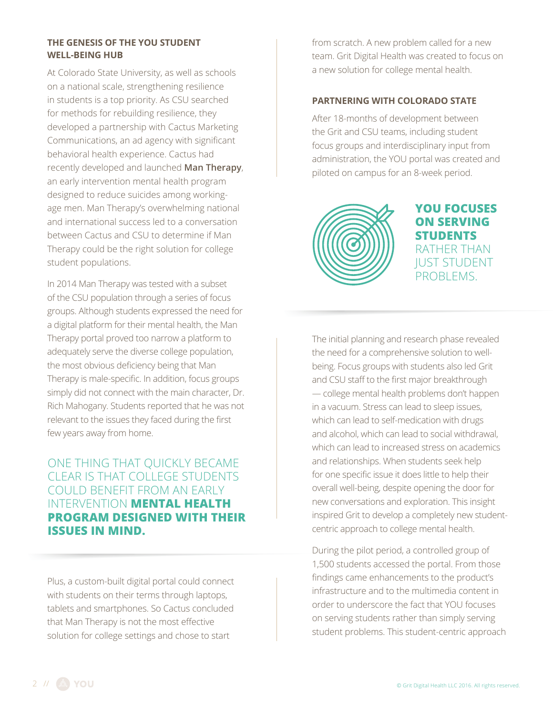### **THE GENESIS OF THE YOU STUDENT WELL-BEING HUB**

At Colorado State University, as well as schools on a national scale, strengthening resilience in students is a top priority. As CSU searched for methods for rebuilding resilience, they developed a partnership with Cactus Marketing Communications, an ad agency with significant behavioral health experience. Cactus had recently developed and launched **Man Therapy**, an early intervention mental health program designed to reduce suicides among workingage men. Man Therapy's overwhelming national and international success led to a conversation between Cactus and CSU to determine if Man Therapy could be the right solution for college student populations.

In 2014 Man Therapy was tested with a subset of the CSU population through a series of focus groups. Although students expressed the need for a digital platform for their mental health, the Man Therapy portal proved too narrow a platform to adequately serve the diverse college population, the most obvious deficiency being that Man Therapy is male-specific. In addition, focus groups simply did not connect with the main character, Dr. Rich Mahogany. Students reported that he was not relevant to the issues they faced during the first few years away from home.

# ONE THING THAT QUICKLY BECAME CLEAR IS THAT COLLEGE STUDENTS COULD BENEFIT FROM AN EARLY INTERVENTION **MENTAL HEALTH PROGRAM DESIGNED WITH THEIR ISSUES IN MIND.**

Plus, a custom-built digital portal could connect with students on their terms through laptops, tablets and smartphones. So Cactus concluded that Man Therapy is not the most effective solution for college settings and chose to start

from scratch. A new problem called for a new team. Grit Digital Health was created to focus on a new solution for college mental health.

#### **PARTNERING WITH COLORADO STATE**

After 18-months of development between the Grit and CSU teams, including student focus groups and interdisciplinary input from administration, the YOU portal was created and piloted on campus for an 8-week period.



**YOU FOCUSES ON SERVING STUDENTS** RATHER THAN JUST STUDENT PROBLEMS.

The initial planning and research phase revealed the need for a comprehensive solution to wellbeing. Focus groups with students also led Grit and CSU staff to the first major breakthrough — college mental health problems don't happen in a vacuum. Stress can lead to sleep issues, which can lead to self-medication with drugs and alcohol, which can lead to social withdrawal, which can lead to increased stress on academics and relationships. When students seek help for one specific issue it does little to help their overall well-being, despite opening the door for new conversations and exploration. This insight inspired Grit to develop a completely new studentcentric approach to college mental health.

During the pilot period, a controlled group of 1,500 students accessed the portal. From those findings came enhancements to the product's infrastructure and to the multimedia content in order to underscore the fact that YOU focuses on serving students rather than simply serving student problems. This student-centric approach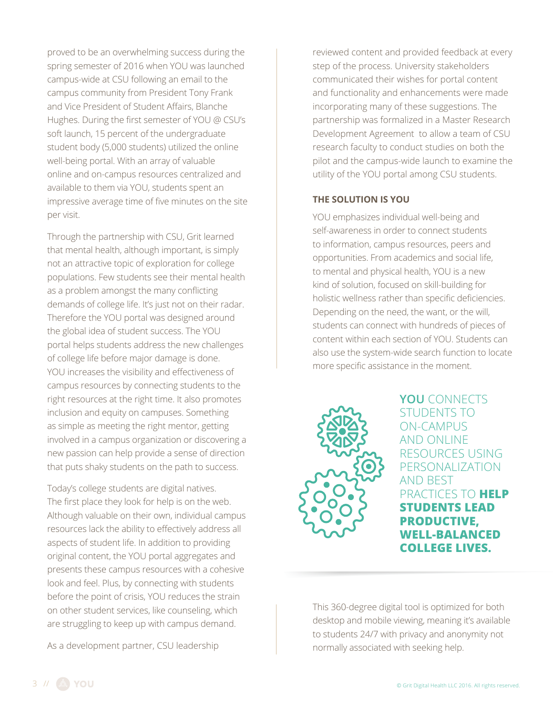proved to be an overwhelming success during the spring semester of 2016 when YOU was launched campus-wide at CSU following an email to the campus community from President Tony Frank and Vice President of Student Affairs, Blanche Hughes. During the first semester of YOU @ CSU's soft launch, 15 percent of the undergraduate student body (5,000 students) utilized the online well-being portal. With an array of valuable online and on-campus resources centralized and available to them via YOU, students spent an impressive average time of five minutes on the site per visit.

Through the partnership with CSU, Grit learned that mental health, although important, is simply not an attractive topic of exploration for college populations. Few students see their mental health as a problem amongst the many conflicting demands of college life. It's just not on their radar. Therefore the YOU portal was designed around the global idea of student success. The YOU portal helps students address the new challenges of college life before major damage is done. YOU increases the visibility and effectiveness of campus resources by connecting students to the right resources at the right time. It also promotes inclusion and equity on campuses. Something as simple as meeting the right mentor, getting involved in a campus organization or discovering a new passion can help provide a sense of direction that puts shaky students on the path to success.

Today's college students are digital natives. The first place they look for help is on the web. Although valuable on their own, individual campus resources lack the ability to effectively address all aspects of student life. In addition to providing original content, the YOU portal aggregates and presents these campus resources with a cohesive look and feel. Plus, by connecting with students before the point of crisis, YOU reduces the strain on other student services, like counseling, which are struggling to keep up with campus demand.

As a development partner, CSU leadership

reviewed content and provided feedback at every step of the process. University stakeholders communicated their wishes for portal content and functionality and enhancements were made incorporating many of these suggestions. The partnership was formalized in a Master Research Development Agreement to allow a team of CSU research faculty to conduct studies on both the pilot and the campus-wide launch to examine the utility of the YOU portal among CSU students.

#### **THE SOLUTION IS YOU**

YOU emphasizes individual well-being and self-awareness in order to connect students to information, campus resources, peers and opportunities. From academics and social life, to mental and physical health, YOU is a new kind of solution, focused on skill-building for holistic wellness rather than specific deficiencies. Depending on the need, the want, or the will, students can connect with hundreds of pieces of content within each section of YOU. Students can also use the system-wide search function to locate more specific assistance in the moment.



**YOU** CONNECTS STUDENTS TO ON-CAMPUS AND ONLINE RESOURCES USING PERSONALIZATION AND BEST PRACTICES TO **HELP STUDENTS LEAD PRODUCTIVE, WELL-BALANCED COLLEGE LIVES.** 

This 360-degree digital tool is optimized for both desktop and mobile viewing, meaning it's available to students 24/7 with privacy and anonymity not normally associated with seeking help.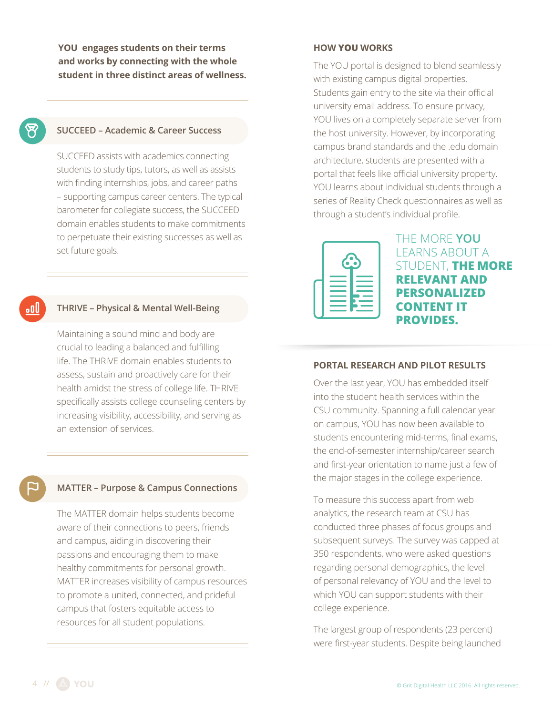**YOU engages students on their terms and works by connecting with the whole student in three distinct areas of wellness.**

## **SUCCEED – Academic & Career Success**

SUCCEED assists with academics connecting students to study tips, tutors, as well as assists with finding internships, jobs, and career paths – supporting campus career centers. The typical barometer for collegiate success, the SUCCEED domain enables students to make commitments to perpetuate their existing successes as well as set future goals.

# o۵U

#### **THRIVE – Physical & Mental Well-Being**

Maintaining a sound mind and body are crucial to leading a balanced and fulfilling life. The THRIVE domain enables students to assess, sustain and proactively care for their health amidst the stress of college life. THRIVE specifically assists college counseling centers by increasing visibility, accessibility, and serving as an extension of services.

#### **MATTER – Purpose & Campus Connections**

The MATTER domain helps students become aware of their connections to peers, friends and campus, aiding in discovering their passions and encouraging them to make healthy commitments for personal growth. MATTER increases visibility of campus resources to promote a united, connected, and prideful campus that fosters equitable access to resources for all student populations.

#### **HOW YOU WORKS**

The YOU portal is designed to blend seamlessly with existing campus digital properties. Students gain entry to the site via their official university email address. To ensure privacy, YOU lives on a completely separate server from the host university. However, by incorporating campus brand standards and the .edu domain architecture, students are presented with a portal that feels like official university property. YOU learns about individual students through a series of Reality Check questionnaires as well as through a student's individual profile.



THE MORE **YOU** LEARNS ABOUT A STUDENT, **THE MORE RELEVANT AND PERSONALIZED CONTENT IT PROVIDES.**

#### **PORTAL RESEARCH AND PILOT RESULTS**

Over the last year, YOU has embedded itself into the student health services within the CSU community. Spanning a full calendar year on campus, YOU has now been available to students encountering mid-terms, final exams, the end-of-semester internship/career search and first-year orientation to name just a few of the major stages in the college experience.

To measure this success apart from web analytics, the research team at CSU has conducted three phases of focus groups and subsequent surveys. The survey was capped at 350 respondents, who were asked questions regarding personal demographics, the level of personal relevancy of YOU and the level to which YOU can support students with their college experience.

The largest group of respondents (23 percent) were first-year students. Despite being launched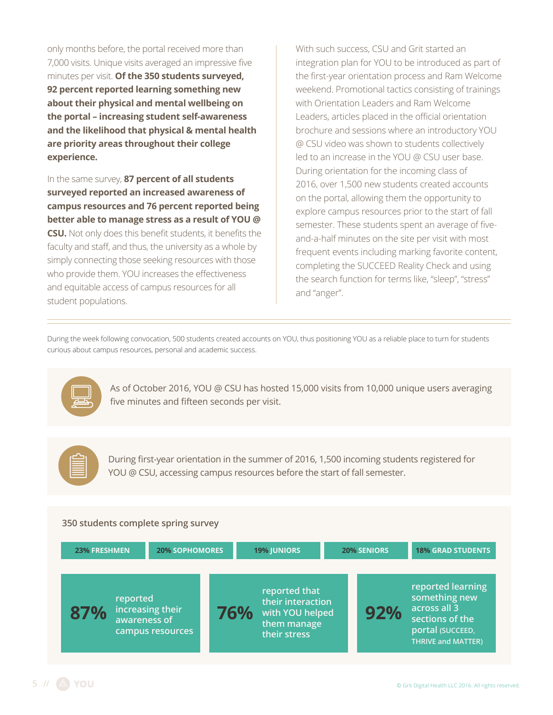only months before, the portal received more than 7,000 visits. Unique visits averaged an impressive five minutes per visit. **Of the 350 students surveyed, 92 percent reported learning something new about their physical and mental wellbeing on the portal – increasing student self-awareness and the likelihood that physical & mental health are priority areas throughout their college experience.** 

In the same survey, **87 percent of all students surveyed reported an increased awareness of campus resources and 76 percent reported being better able to manage stress as a result of YOU @ CSU.** Not only does this benefit students, it benefits the faculty and staff, and thus, the university as a whole by simply connecting those seeking resources with those who provide them. YOU increases the effectiveness and equitable access of campus resources for all student populations.

With such success, CSU and Grit started an integration plan for YOU to be introduced as part of the first-year orientation process and Ram Welcome weekend. Promotional tactics consisting of trainings with Orientation Leaders and Ram Welcome Leaders, articles placed in the official orientation brochure and sessions where an introductory YOU @ CSU video was shown to students collectively led to an increase in the YOU @ CSU user base. During orientation for the incoming class of 2016, over 1,500 new students created accounts on the portal, allowing them the opportunity to explore campus resources prior to the start of fall semester. These students spent an average of fiveand-a-half minutes on the site per visit with most frequent events including marking favorite content, completing the SUCCEED Reality Check and using the search function for terms like, "sleep", "stress" and "anger".

During the week following convocation, 500 students created accounts on YOU, thus positioning YOU as a reliable place to turn for students curious about campus resources, personal and academic success.



As of October 2016, YOU @ CSU has hosted 15,000 visits from 10,000 unique users averaging five minutes and fifteen seconds per visit.



During first-year orientation in the summer of 2016, 1,500 incoming students registered for YOU @ CSU, accessing campus resources before the start of fall semester.

#### **350 students complete spring survey**

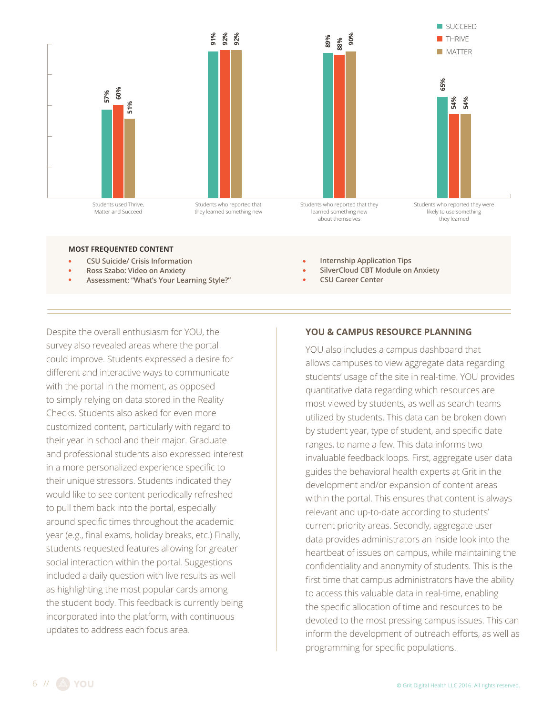

#### **MOST FREQUENTED CONTENT**

- **CSU Suicide/ Crisis Information**
- **Ross Szabo: Video on Anxiety**
- **Assessment: "What's Your Learning Style?"**

Despite the overall enthusiasm for YOU, the survey also revealed areas where the portal could improve. Students expressed a desire for different and interactive ways to communicate with the portal in the moment, as opposed to simply relying on data stored in the Reality Checks. Students also asked for even more customized content, particularly with regard to their year in school and their major. Graduate and professional students also expressed interest in a more personalized experience specific to their unique stressors. Students indicated they would like to see content periodically refreshed to pull them back into the portal, especially around specific times throughout the academic year (e.g., final exams, holiday breaks, etc.) Finally, students requested features allowing for greater social interaction within the portal. Suggestions included a daily question with live results as well as highlighting the most popular cards among the student body. This feedback is currently being incorporated into the platform, with continuous updates to address each focus area.

- **Internship Application Tips**
- **SilverCloud CBT Module on Anxiety**
- **CSU Career Center**

#### **YOU & CAMPUS RESOURCE PLANNING**

YOU also includes a campus dashboard that allows campuses to view aggregate data regarding students' usage of the site in real-time. YOU provides quantitative data regarding which resources are most viewed by students, as well as search teams utilized by students. This data can be broken down by student year, type of student, and specific date ranges, to name a few. This data informs two invaluable feedback loops. First, aggregate user data guides the behavioral health experts at Grit in the development and/or expansion of content areas within the portal. This ensures that content is always relevant and up-to-date according to students' current priority areas. Secondly, aggregate user data provides administrators an inside look into the heartbeat of issues on campus, while maintaining the confidentiality and anonymity of students. This is the first time that campus administrators have the ability to access this valuable data in real-time, enabling the specific allocation of time and resources to be devoted to the most pressing campus issues. This can inform the development of outreach efforts, as well as programming for specific populations.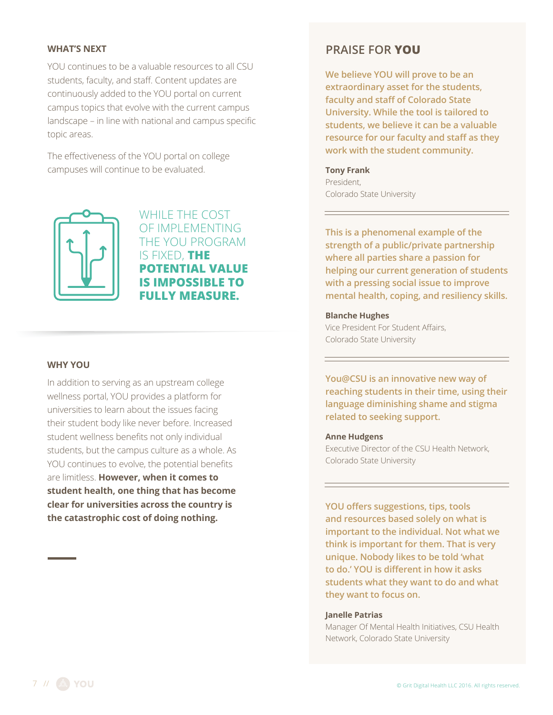#### **WHAT'S NEXT**

YOU continues to be a valuable resources to all CSU students, faculty, and staff. Content updates are continuously added to the YOU portal on current campus topics that evolve with the current campus landscape – in line with national and campus specific topic areas.

The effectiveness of the YOU portal on college campuses will continue to be evaluated.



WHILE THE COST OF IMPLEMENTING THE YOU PROGRAM IS FIXED, **THE POTENTIAL VALUE IS IMPOSSIBLE TO FULLY MEASURE.** 

#### **WHY YOU**

In addition to serving as an upstream college wellness portal, YOU provides a platform for universities to learn about the issues facing their student body like never before. Increased student wellness benefits not only individual students, but the campus culture as a whole. As YOU continues to evolve, the potential benefits are limitless. **However, when it comes to student health, one thing that has become clear for universities across the country is the catastrophic cost of doing nothing.** 

# **PRAISE FOR YOU**

**We believe YOU will prove to be an extraordinary asset for the students, faculty and staff of Colorado State University. While the tool is tailored to students, we believe it can be a valuable resource for our faculty and staff as they work with the student community.**

### **Tony Frank**

President, Colorado State University

**This is a phenomenal example of the strength of a public/private partnership where all parties share a passion for helping our current generation of students with a pressing social issue to improve mental health, coping, and resiliency skills.** 

**Blanche Hughes** Vice President For Student Affairs, Colorado State University

**You@CSU is an innovative new way of reaching students in their time, using their language diminishing shame and stigma related to seeking support.** 

#### **Anne Hudgens**

Executive Director of the CSU Health Network, Colorado State University

**YOU offers suggestions, tips, tools and resources based solely on what is important to the individual. Not what we think is important for them. That is very unique. Nobody likes to be told 'what to do.' YOU is different in how it asks students what they want to do and what they want to focus on.**

#### **Janelle Patrias**

Manager Of Mental Health Initiatives, CSU Health Network, Colorado State University